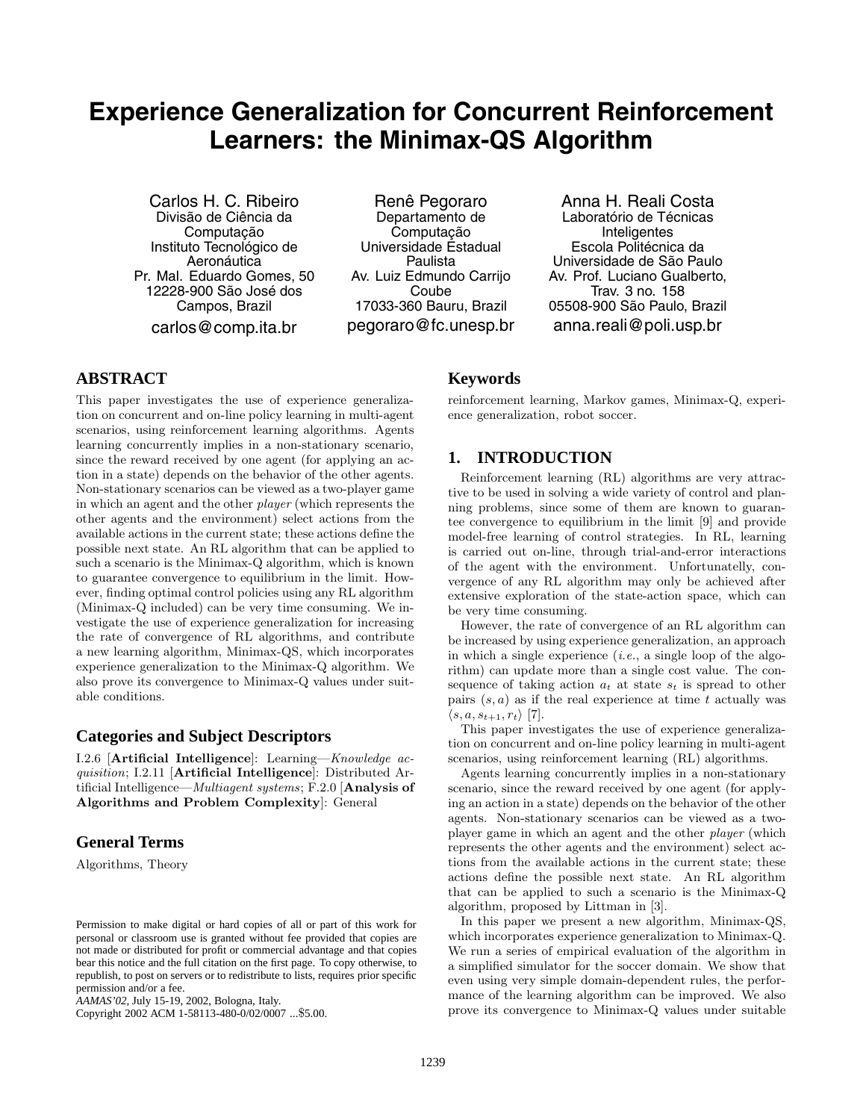# **Experience Generalization for Concurrent Reinforcement Learners: the Minimax-QS Algorithm**

Carlos H. C. Ribeiro Divisão de Ciência da Computação Instituto Tecnológico de Aeronáutica Pr. Mal. Eduardo Gomes, 50 12228-900 São José dos Campos, Brazil carlos@comp.ita.br

Renê Pegoraro Departamento de Computacão Universidade Estadual Paulista Av. Luiz Edmundo Carrijo Coube 17033-360 Bauru, Brazil pegoraro@fc.unesp.br

Anna H. Reali Costa Laboratório de Técnicas **Inteligentes** Escola Politécnica da Universidade de S˜ao Paulo Av. Prof. Luciano Gualberto, Trav. 3 no. 158 05508-900 São Paulo, Brazil anna.reali@poli.usp.br

# **ABSTRACT**

This paper investigates the use of experience generalization on concurrent and on-line policy learning in multi-agent scenarios, using reinforcement learning algorithms. Agents learning concurrently implies in a non-stationary scenario, since the reward received by one agent (for applying an action in a state) depends on the behavior of the other agents. Non-stationary scenarios can be viewed as a two-player game in which an agent and the other player (which represents the other agents and the environment) select actions from the available actions in the current state; these actions define the possible next state. An RL algorithm that can be applied to such a scenario is the Minimax-Q algorithm, which is known to guarantee convergence to equilibrium in the limit. However, finding optimal control policies using any RL algorithm (Minimax-Q included) can be very time consuming. We investigate the use of experience generalization for increasing the rate of convergence of RL algorithms, and contribute a new learning algorithm, Minimax-QS, which incorporates experience generalization to the Minimax-Q algorithm. We also prove its convergence to Minimax-Q values under suitable conditions.

### **Categories and Subject Descriptors**

I.2.6 [**Artificial Intelligence**]: Learning—Knowledge acquisition;I.2.11 [**Artificial Intelligence**]: Distributed Artificial Intelligence—Multiagent systems;F.2.0 [**Analysis of Algorithms and Problem Complexity**]: General

# **General Terms**

Algorithms, Theory

Copyright 2002 ACM 1-58113-480-0/02/0007 ...\$5.00.

### **Keywords**

reinforcement learning, Markov games, Minimax-Q, experience generalization, robot soccer.

### **1. INTRODUCTION**

Reinforcement learning (RL) algorithms are very attractive to be used in solving a wide variety of control and planning problems, since some of them are known to guarantee convergence to equilibrium in the limit [9] and provide model-free learning of control strategies. In RL, learning is carried out on-line, through trial-and-error interactions of the agent with the environment. Unfortunatelly, convergence of any RL algorithm may only be achieved after extensive exploration of the state-action space, which can be very time consuming.

However, the rate of convergence of an RL algorithm can be increased by using experience generalization, an approach in which a single experience  $(i.e., a single loop of the algo$ rithm) can update more than a single cost value. The consequence of taking action  $a_t$  at state  $s_t$  is spread to other pairs  $(s, a)$  as if the real experience at time t actually was  $\langle s, a, s_{t+1}, r_t \rangle$  [7].

This paper investigates the use of experience generalization on concurrent and on-line policy learning in multi-agent scenarios, using reinforcement learning (RL) algorithms.

Agents learning concurrently implies in a non-stationary scenario, since the reward received by one agent (for applying an action in a state) depends on the behavior of the other agents. Non-stationary scenarios can be viewed as a twoplayer game in which an agent and the other player (which represents the other agents and the environment) select actions from the available actions in the current state; these actions define the possible next state. An RL algorithm that can be applied to such a scenario is the Minimax-Q algorithm, proposed by Littman in [3].

In this paper we present a new algorithm, Minimax-QS, which incorporates experience generalization to Minimax-Q. We run a series of empirical evaluation of the algorithm in a simplified simulator for the soccer domain. We show that even using very simple domain-dependent rules, the performance of the learning algorithm can be improved. We also prove its convergence to Minimax-Q values under suitable

Permission to make digital or hard copies of all or part of this work for personal or classroom use is granted without fee provided that copies are not made or distributed for profit or commercial advantage and that copies bear this notice and the full citation on the first page. To copy otherwise, to republish, to post on servers or to redistribute to lists, requires prior specific permission and/or a fee.

*AAMAS'02,* July 15-19, 2002, Bologna, Italy.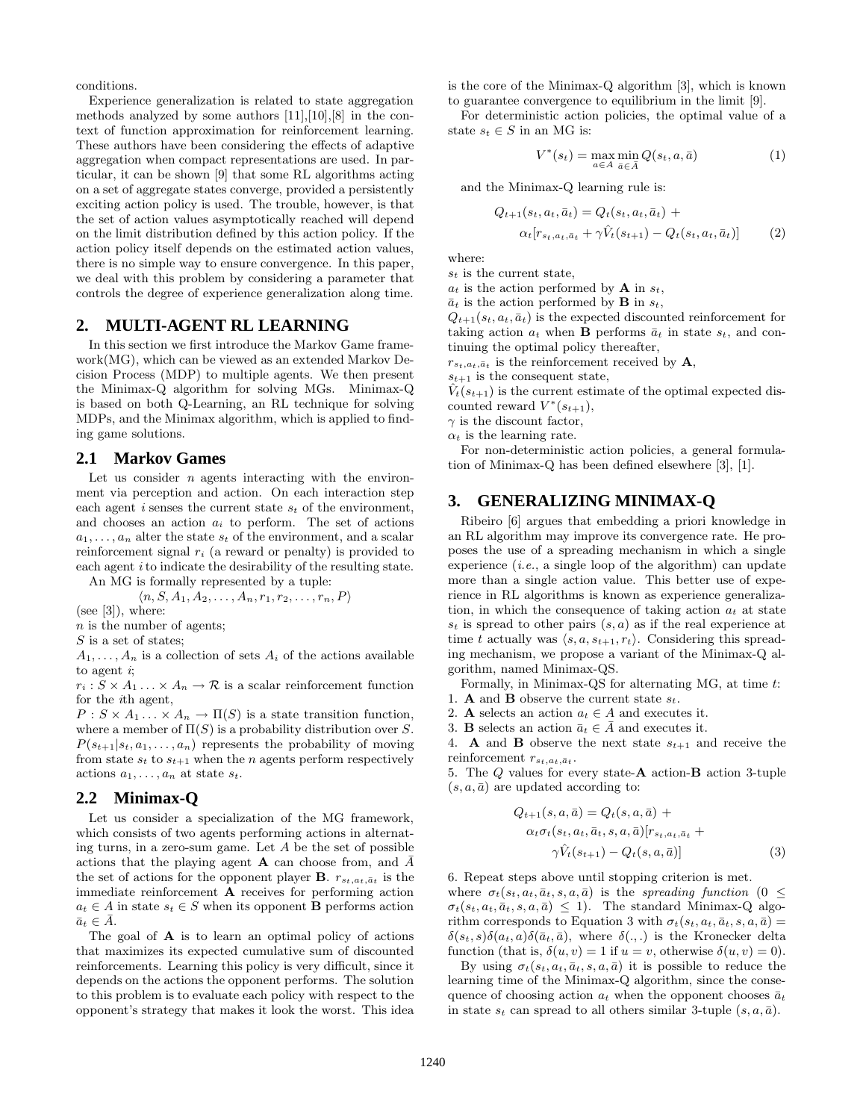conditions.

Experience generalization is related to state aggregation methods analyzed by some authors [11],[10],[8] in the context of function approximation for reinforcement learning. These authors have been considering the effects of adaptive aggregation when compact representations are used. In particular, it can be shown [9] that some RL algorithms acting on a set of aggregate states converge, provided a persistently exciting action policy is used. The trouble, however, is that the set of action values asymptotically reached will depend on the limit distribution defined by this action policy. If the action policy itself depends on the estimated action values, there is no simple way to ensure convergence. In this paper, we deal with this problem by considering a parameter that controls the degree of experience generalization along time.

# **2. MULTI-AGENT RL LEARNING**

In this section we first introduce the Markov Game framework(MG), which can be viewed as an extended Markov Decision Process (MDP) to multiple agents. We then present the Minimax-Q algorithm for solving MGs. Minimax-Q is based on both Q-Learning, an RL technique for solving MDPs, and the Minimax algorithm, which is applied to finding game solutions.

#### **2.1 Markov Games**

Let us consider  $n$  agents interacting with the environment via perception and action. On each interaction step each agent *i* senses the current state  $s_t$  of the environment, and chooses an action a*<sup>i</sup>* to perform. The set of actions  $a_1, \ldots, a_n$  alter the state  $s_t$  of the environment, and a scalar reinforcement signal r*<sup>i</sup>* (a reward or penalty) is provided to each agent *i* to indicate the desirability of the resulting state. An MG is formally represented by a tuple:

 $\langle n, S, A_1, A_2, \ldots, A_n, r_1, r_2, \ldots, r_n, P \rangle$ 

(see  $[3]$ ), where:

n is the number of agents;

S is a set of states;

 $A_1, \ldots, A_n$  is a collection of sets  $A_i$  of the actions available to agent  $i$ ;

 $r_i$ :  $S \times A_1$ ...  $\times A_n \to \mathcal{R}$  is a scalar reinforcement function for the ith agent,

 $P: S \times A_1 \ldots \times A_n \to \Pi(S)$  is a state transition function, where a member of  $\Pi(S)$  is a probability distribution over S.  $P(s_{t+1}|s_t, a_1, \ldots, a_n)$  represents the probability of moving from state  $s_t$  to  $s_{t+1}$  when the *n* agents perform respectively actions  $a_1, \ldots, a_n$  at state  $s_t$ .

### **2.2 Minimax-Q**

Let us consider a specialization of the MG framework, which consists of two agents performing actions in alternating turns, in a zero-sum game. Let  $A$  be the set of possible actions that the playing agent **A** can choose from, and  $\bar{A}$ the set of actions for the opponent player **B**.  $r_{s_t, a_t, \bar{a}_t}$  is the immediate reinforcement **A** receives for performing action  $a_t \in A$  in state  $s_t \in S$  when its opponent **B** performs action  $\bar{a}_t \in A$ .

The goal of **A** is to learn an optimal policy of actions that maximizes its expected cumulative sum of discounted reinforcements. Learning this policy is very difficult, since it depends on the actions the opponent performs. The solution to this problem is to evaluate each policy with respect to the opponent's strategy that makes it look the worst. This idea

is the core of the Minimax-Q algorithm [3], which is known to guarantee convergence to equilibrium in the limit [9].

For deterministic action policies, the optimal value of a state  $s_t \in S$  in an MG is:

$$
V^*(s_t) = \max_{a \in A} \min_{\bar{a} \in \bar{A}} Q(s_t, a, \bar{a})
$$
\n(1)

and the Minimax-Q learning rule is:

$$
Q_{t+1}(s_t, a_t, \bar{a}_t) = Q_t(s_t, a_t, \bar{a}_t) +
$$
  
\n
$$
\alpha_t[r_{s_t, a_t, \bar{a}_t} + \gamma \hat{V}_t(s_{t+1}) - Q_t(s_t, a_t, \bar{a}_t)]
$$
 (2)

where:

s*<sup>t</sup>* is the current state,

 $a_t$  is the action performed by **A** in  $s_t$ ,

 $\bar{a}_t$  is the action performed by **B** in  $s_t$ ,

 $Q_{t+1}(s_t, a_t, \bar{a}_t)$  is the expected discounted reinforcement for taking action  $a_t$  when **B** performs  $\bar{a}_t$  in state  $s_t$ , and continuing the optimal policy thereafter,

 $r_{s_t, a_t, \bar{a}_t}$  is the reinforcement received by **A**,

 $s_{t+1}$  is the consequent state,

 $V_t(s_{t+1})$  is the current estimate of the optimal expected discounted reward  $V^*(s_{t+1}),$ 

 $\gamma$  is the discount factor,

 $\alpha_t$  is the learning rate.

For non-deterministic action policies, a general formulation of Minimax-Q has been defined elsewhere [3], [1].

### **3. GENERALIZING MINIMAX-Q**

Ribeiro [6] argues that embedding a priori knowledge in an RL algorithm may improve its convergence rate. He proposes the use of a spreading mechanism in which a single experience  $(i.e., a single loop of the algorithm) can update$ more than a single action value. This better use of experience in RL algorithms is known as experience generalization, in which the consequence of taking action  $a_t$  at state  $s_t$  is spread to other pairs  $(s, a)$  as if the real experience at time t actually was  $\langle s, a, s_{t+1}, r_t \rangle$ . Considering this spreading mechanism, we propose a variant of the Minimax-Q algorithm, named Minimax-QS.

Formally, in Minimax-QS for alternating MG, at time t:

- 1. **A** and **B** observe the current state  $s_t$ .
- 2. **A** selects an action  $a_t \in A$  and executes it.
- 3. **B** selects an action  $\bar{a}_t \in \bar{A}$  and executes it.

4. **A** and **B** observe the next state  $s_{t+1}$  and receive the reinforcement  $r_{s_t, a_t, \bar{a}_t}$ .

5. The Q values for every state-**A** action-**B** action 3-tuple  $(s, a, \bar{a})$  are updated according to:

$$
Q_{t+1}(s, a, \bar{a}) = Q_t(s, a, \bar{a}) +
$$
  
\n
$$
\alpha_t \sigma_t(s_t, a_t, \bar{a}_t, s, a, \bar{a}) [r_{s_t, a_t, \bar{a}_t} +
$$
  
\n
$$
\gamma \hat{V}_t(s_{t+1}) - Q_t(s, a, \bar{a})]
$$
\n(3)

6. Repeat steps above until stopping criterion is met.

where  $\sigma_t(s_t, a_t, \bar{a}_t, s, a, \bar{a})$  is the *spreading function* (0 <  $\sigma_t(s_t, a_t, \bar{a}_t, s, a, \bar{a}) \leq 1$ . The standard Minimax-Q algorithm corresponds to Equation 3 with  $\sigma_t(s_t, a_t, \bar{a}_t, s, a, \bar{a}) =$  $\delta(s_t, s)\delta(a_t, a)\delta(\bar{a}_t, \bar{a})$ , where  $\delta(., .)$  is the Kronecker delta function (that is,  $\delta(u, v) = 1$  if  $u = v$ , otherwise  $\delta(u, v) = 0$ ).

By using  $\sigma_t(s_t, a_t, \bar{a}_t, s, a, \bar{a})$  it is possible to reduce the learning time of the Minimax-Q algorithm, since the consequence of choosing action  $a_t$  when the opponent chooses  $\bar{a}_t$ in state  $s_t$  can spread to all others similar 3-tuple  $(s, a, \bar{a})$ .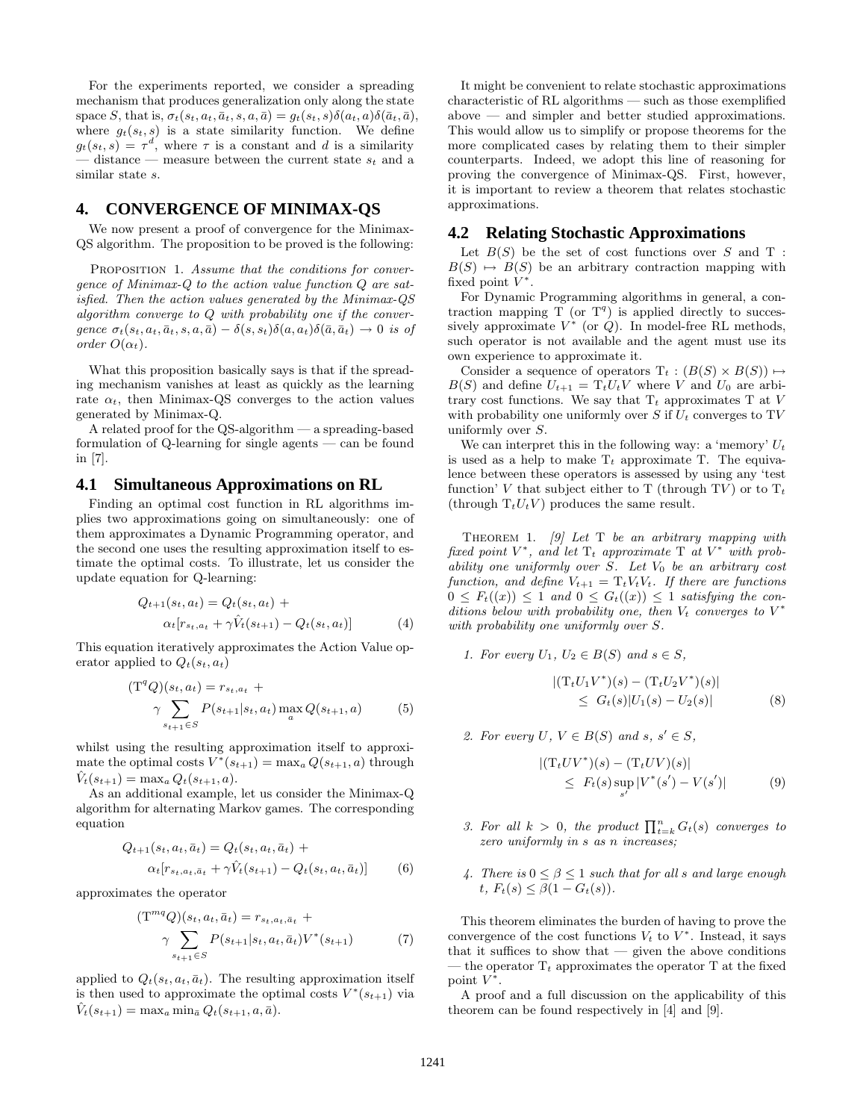For the experiments reported, we consider a spreading mechanism that produces generalization only along the state space S, that is,  $\sigma_t(s_t, a_t, \bar{a}_t, s, a, \bar{a}) = g_t(s_t, s) \delta(a_t, a) \delta(\bar{a}_t, \bar{a})$ , where  $g_t(s_t, s)$  is a state similarity function. We define  $g_t(s_t, s) = \tau^d$ , where  $\tau$  is a constant and d is a similarity — distance — measure between the current state s*<sup>t</sup>* and a similar state s.

# **4. CONVERGENCE OF MINIMAX-QS**

We now present a proof of convergence for the Minimax-QS algorithm. The proposition to be proved is the following:

PROPOSITION 1. Assume that the conditions for convergence of Minimax-Q to the action value function Q are satisfied. Then the action values generated by the Minimax-QS algorithm converge to  $Q$  with probability one if the convergence  $\sigma_t(s_t, a_t, \bar{a}_t, s, a, \bar{a}) - \delta(s, s_t) \delta(a, a_t) \delta(\bar{a}, \bar{a}_t) \rightarrow 0$  is of order  $O(\alpha_t)$ .

What this proposition basically says is that if the spreading mechanism vanishes at least as quickly as the learning rate  $\alpha_t$ , then Minimax-QS converges to the action values generated by Minimax-Q.

A related proof for the QS-algorithm — a spreading-based formulation of Q-learning for single agents — can be found in [7].

#### **4.1 Simultaneous Approximations on RL**

Finding an optimal cost function in RL algorithms implies two approximations going on simultaneously: one of them approximates a Dynamic Programming operator, and the second one uses the resulting approximation itself to estimate the optimal costs. To illustrate, let us consider the update equation for Q-learning:

$$
Q_{t+1}(s_t, a_t) = Q_t(s_t, a_t) +
$$
  
\n
$$
\alpha_t[r_{s_t, a_t} + \gamma \hat{V}_t(s_{t+1}) - Q_t(s_t, a_t)]
$$
\n(4)

This equation iteratively approximates the Action Value operator applied to  $Q_t(s_t, a_t)$ 

$$
(T^{q}Q)(s_{t}, a_{t}) = r_{s_{t}, a_{t}} + \gamma \sum_{s_{t+1} \in S} P(s_{t+1}|s_{t}, a_{t}) \max_{a} Q(s_{t+1}, a)
$$
(5)

whilst using the resulting approximation itself to approximate the optimal costs  $V^*(s_{t+1}) = \max_a Q(s_{t+1}, a)$  through  $\hat{V}_t(s_{t+1}) = \max_a Q_t(s_{t+1}, a).$ 

As an additional example, let us consider the Minimax-Q algorithm for alternating Markov games. The corresponding equation

$$
Q_{t+1}(s_t, a_t, \bar{a}_t) = Q_t(s_t, a_t, \bar{a}_t) +
$$
  
\n
$$
\alpha_t[r_{s_t, a_t, \bar{a}_t} + \gamma \hat{V}_t(s_{t+1}) - Q_t(s_t, a_t, \bar{a}_t)]
$$
 (6)

approximates the operator

$$
(T^{mq}Q)(s_t, a_t, \bar{a}_t) = r_{s_t, a_t, \bar{a}_t} + \gamma \sum_{s_{t+1} \in S} P(s_{t+1}|s_t, a_t, \bar{a}_t) V^*(s_{t+1}) \tag{7}
$$

applied to  $Q_t(s_t, a_t, \bar{a}_t)$ . The resulting approximation itself is then used to approximate the optimal costs  $V^*(s_{t+1})$  via  $V_t(s_{t+1}) = \max_a \min_{\bar{a}} Q_t(s_{t+1}, a, \bar{a}).$ 

It might be convenient to relate stochastic approximations characteristic of RL algorithms — such as those exemplified above — and simpler and better studied approximations. This would allow us to simplify or propose theorems for the more complicated cases by relating them to their simpler counterparts. Indeed, we adopt this line of reasoning for proving the convergence of Minimax-QS. First, however, it is important to review a theorem that relates stochastic approximations.

#### **4.2 Relating Stochastic Approximations**

Let  $B(S)$  be the set of cost functions over S and T :  $B(S) \mapsto B(S)$  be an arbitrary contraction mapping with fixed point  $V^*$ .

For Dynamic Programming algorithms in general, a contraction mapping  $T$  (or  $T<sup>q</sup>$ ) is applied directly to successively approximate  $V^*$  (or  $Q$ ). In model-free RL methods, such operator is not available and the agent must use its own experience to approximate it.

Consider a sequence of operators  $T_t : (B(S) \times B(S)) \mapsto$  $B(S)$  and define  $U_{t+1} = T_t U_t V$  where V and  $U_0$  are arbitrary cost functions. We say that  $T_t$  approximates  $T$  at  $V$ with probability one uniformly over  $S$  if  $U_t$  converges to TV uniformly over S.

We can interpret this in the following way: a 'memory'  $U_t$ is used as a help to make  $T_t$  approximate T. The equivalence between these operators is assessed by using any 'test function' V that subject either to T (through TV) or to  $T_t$ (through  $T_tU_tV$ ) produces the same result.

THEOREM 1. [9] Let T be an arbitrary mapping with fixed point  $V^*$ , and let  $T_t$  approximate  $T$  at  $V^*$  with probability one uniformly over  $S$ . Let  $V_0$  be an arbitrary cost function, and define  $V_{t+1} = T_t V_t V_t$ . If there are functions  $0 \leq F_t((x)) \leq 1$  and  $0 \leq G_t((x)) \leq 1$  satisfying the conditions below with probability one, then  $V_t$  converges to  $V^*$ with probability one uniformly over S.

1. For every 
$$
U_1, U_2 \in B(S)
$$
 and  $s \in S$ ,  
\n
$$
|(T_t U_1 V^*)(s) - (T_t U_2 V^*)(s)|
$$
\n
$$
\leq G_t(s)|U_1(s) - U_2(s)| \tag{8}
$$

2. For every  $U, V \in B(S)$  and  $s, s' \in S$ ,

$$
|(T_tUV^*)(s) - (T_tUV)(s)|
$$
  
\n
$$
\leq F_t(s) \sup_{s'} |V^*(s') - V(s')|
$$
 (9)

- 3. For all  $k > 0$ , the product  $\prod_{t=k}^{n} G_t(s)$  converges to zero uniformly in s as n increases;
- 4. There is  $0 \leq \beta \leq 1$  such that for all s and large enough t,  $F_t(s) \leq \beta(1 - G_t(s)).$

This theorem eliminates the burden of having to prove the convergence of the cost functions  $V_t$  to  $V^*$ . Instead, it says that it suffices to show that  $-$  given the above conditions — the operator  $T_t$  approximates the operator  $T$  at the fixed point  $V^*$ .

A proof and a full discussion on the applicability of this theorem can be found respectively in [4] and [9].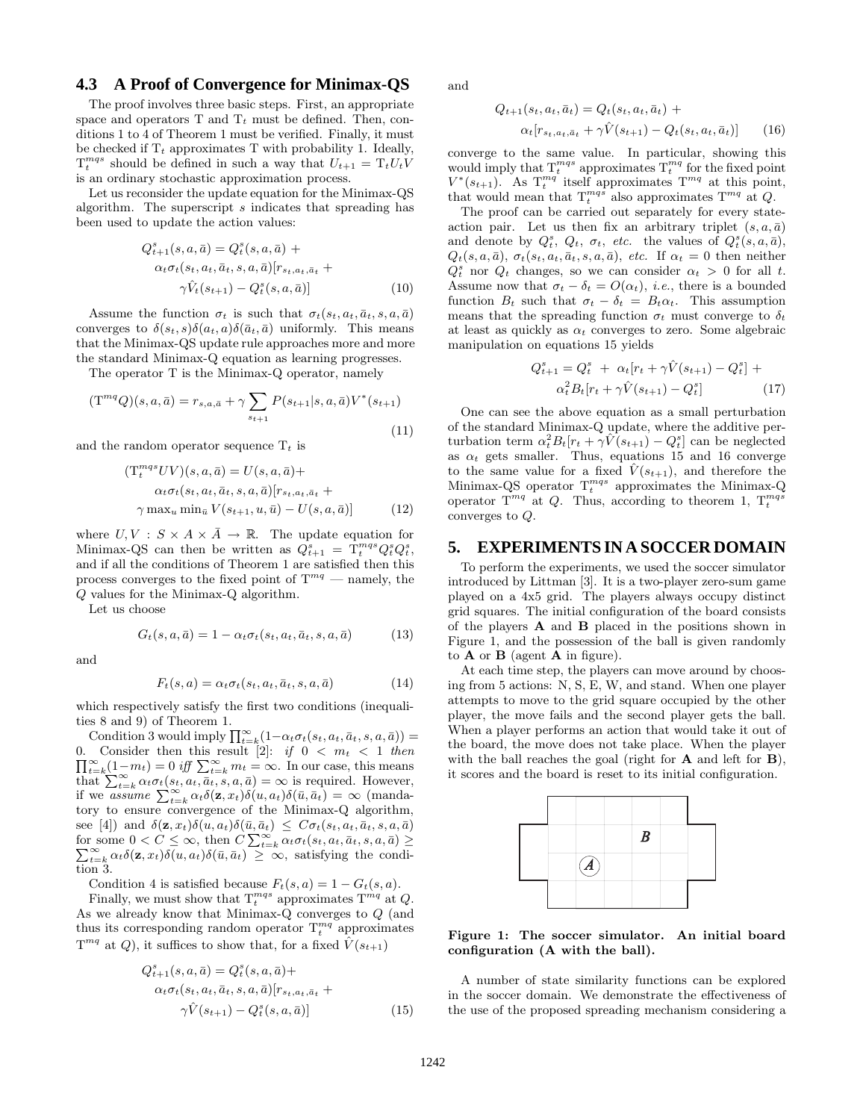### **4.3 A Proof of Convergence for Minimax-QS**

The proof involves three basic steps. First, an appropriate space and operators  $T$  and  $T_t$  must be defined. Then, conditions 1 to 4 of Theorem 1 must be verified. Finally, it must be checked if  $T_t$  approximates  $T$  with probability 1. Ideally,  $T_t^{mqs}$  should be defined in such a way that  $U_{t+1} = T_t U_t V$ is an ordinary stochastic approximation process.

Let us reconsider the update equation for the Minimax-QS algorithm. The superscript s indicates that spreading has been used to update the action values:

$$
Q_{t+1}^{s}(s, a, \bar{a}) = Q_{t}^{s}(s, a, \bar{a}) +
$$
  
\n
$$
\alpha_{t}\sigma_{t}(s_{t}, a_{t}, \bar{a}_{t}, s, a, \bar{a})[r_{s_{t}, a_{t}, \bar{a}_{t}} +
$$
  
\n
$$
\gamma \hat{V}_{t}(s_{t+1}) - Q_{t}^{s}(s, a, \bar{a})]
$$
\n(10)

Assume the function  $\sigma_t$  is such that  $\sigma_t(s_t, a_t, \bar{a}_t, s, a, \bar{a})$ converges to  $\delta(s_t, s)\delta(a_t, a)\delta(\bar{a}_t, \bar{a})$  uniformly. This means that the Minimax-QS update rule approaches more and more the standard Minimax-Q equation as learning progresses.

The operator T is the Minimax-Q operator, namely

$$
(\mathbf{T}^{mq}Q)(s,a,\bar{a}) = r_{s,a,\bar{a}} + \gamma \sum_{s_{t+1}} P(s_{t+1}|s,a,\bar{a}) V^*(s_{t+1})
$$
\n(11)

and the random operator sequence  $T_t$  is

$$
\begin{aligned} \left(\mathcal{T}_t^{mag} UV\right) & (s, a, \bar{a}) = U(s, a, \bar{a}) + \\ \alpha_t \sigma_t(s_t, a_t, \bar{a}_t, s, a, \bar{a}) [r_{s_t, a_t, \bar{a}_t} + \\ \gamma \max_u \min_{\bar{u}} V(s_{t+1}, u, \bar{u}) - U(s, a, \bar{a})] \end{aligned} \tag{12}
$$

where  $U, V : S \times A \times \overline{A} \rightarrow \mathbb{R}$ . The update equation for Minimax-QS can then be written as  $\dot{Q}_{t+1}^s = \dot{T}_t^{mqs} Q_t^s Q_t^s$ , and if all the conditions of Theorem 1 are satisfied then this process converges to the fixed point of  $T^{mq}$  — namely, the Q values for the Minimax-Q algorithm.

Let us choose

$$
G_t(s, a, \bar{a}) = 1 - \alpha_t \sigma_t(s_t, a_t, \bar{a}_t, s, a, \bar{a}) \tag{13}
$$

and

$$
F_t(s, a) = \alpha_t \sigma_t(s_t, a_t, \bar{a}_t, s, a, \bar{a}) \tag{14}
$$

which respectively satisfy the first two conditions (inequalities 8 and 9) of Theorem 1.

Condition 3 would imply  $\prod_{t=k}^{\infty} (1-\alpha_t \sigma_t(s_t, a_t, \bar{a}_t, s, a, \bar{a}))$  = 0. Consider then this result [2]: if  $0 < m_t < 1$  then  $\prod_{t=k}^{\infty} (1-m_t) = 0$  iff  $\sum_{t=k}^{\infty} m_t = \infty$ . In our case, this means that  $\sum_{t=k}^{\infty} \alpha_t \sigma_t(s_t, a_t, \bar{a}_t, s, a, \bar{a}) = \infty$  is required. However, if we assume  $\sum_{t=k}^{\infty} \alpha_t \delta(\mathbf{z}, x_t) \delta(u, a_t) \delta(\bar{u}, \bar{a}_t) = \infty$  (mandatory to ensure convergence of the Minimax-Q algorithm, see [4]) and  $\delta(\mathbf{z}, x_t)\delta(u, a_t)\delta(\bar{u}, \bar{a}_t) \leq C\sigma_t(s_t, a_t, \bar{a}_t, s, a, \bar{a})$ for some  $0 < C \leq \infty$ , then  $C \sum_{t=k}^{\infty} \alpha_t \sigma_t(s_t, a_t, \bar{a}_t, s, a, \bar{a}) \geq$ <br> $\sum_{t=k}^{\infty} \alpha_t \delta(\mathbf{z} \cdot x_t) \delta(u, a_t) \delta(\bar{u}, \bar{a}_t) \geq \infty$  satisfying the condi- $\sum_{t=k}^{\infty} \alpha_t \delta(\mathbf{z}, x_t) \delta(u, a_t) \delta(\bar{u}, \bar{a}_t) \geq \infty$ , satisfying the condition 3.

Condition 4 is satisfied because  $F_t(s, a) = 1 - G_t(s, a)$ .

Finally, we must show that  $T_t^{mg}$  approximates  $T^{mq}$  at Q. As we already know that Minimax-Q converges to Q (and thus its corresponding random operator  $T_t^{mq}$  approximates  $T^{mq}$  at Q), it suffices to show that, for a fixed  $\hat{V}(s_{t+1})$ 

$$
Q_{t+1}^{s}(s, a, \bar{a}) = Q_{t}^{s}(s, a, \bar{a}) +
$$
  
\n
$$
\alpha_{t}\sigma_{t}(s_{t}, a_{t}, \bar{a}_{t}, s, a, \bar{a})[r_{s_{t}, a_{t}, \bar{a}_{t}} +
$$
  
\n
$$
\gamma \hat{V}(s_{t+1}) - Q_{t}^{s}(s, a, \bar{a})]
$$
\n(15)

and

$$
Q_{t+1}(s_t, a_t, \bar{a}_t) = Q_t(s_t, a_t, \bar{a}_t) +
$$
  
\n
$$
\alpha_t[r_{s_t, a_t, \bar{a}_t} + \gamma \hat{V}(s_{t+1}) - Q_t(s_t, a_t, \bar{a}_t)] \qquad (16)
$$

converge to the same value. In particular, showing this would imply that  $T_t^{mg}$  approximates  $T_t^{mq}$  for the fixed point  $V^*(s_{t+1})$ . As  $T_t^{mq}$  itself approximates  $T^{mq}$  at this point, that would mean that  $T_t^{mg}$  also approximates  $T^{mq}$  at Q.

The proof can be carried out separately for every stateaction pair. Let us then fix an arbitrary triplet  $(s, a, \bar{a})$ and denote by  $Q_t^s$ ,  $Q_t$ ,  $\sigma_t$ , etc. the values of  $Q_t^s(s, a, \bar{a})$ ,  $Q_t(s, a, \bar{a}), \sigma_t(s_t, a_t, \bar{a}_t, s, a, \bar{a}), etc.$  If  $\alpha_t = 0$  then neither  $Q_t^s$  nor  $Q_t$  changes, so we can consider  $\alpha_t > 0$  for all t. Assume now that  $\sigma_t - \delta_t = O(\alpha_t)$ , *i.e.*, there is a bounded function  $B_t$  such that  $\sigma_t - \delta_t = B_t \alpha_t$ . This assumption means that the spreading function  $\sigma_t$  must converge to  $\delta_t$ at least as quickly as  $\alpha_t$  converges to zero. Some algebraic manipulation on equations 15 yields

$$
Q_{t+1}^{s} = Q_{t}^{s} + \alpha_{t}[r_{t} + \gamma \hat{V}(s_{t+1}) - Q_{t}^{s}] + \alpha_{t}^{2}B_{t}[r_{t} + \gamma \hat{V}(s_{t+1}) - Q_{t}^{s}] \qquad (17)
$$

One can see the above equation as a small perturbation of the standard Minimax-Q update, where the additive perturbation term  $\alpha_t^2 B_t[r_t + \gamma \hat{V}(s_{t+1}) - Q_t^s]$  can be neglected as  $\alpha_t$  gets smaller. Thus, equations 15 and 16 converge to the same value for a fixed  $\hat{V}(s_{t+1})$ , and therefore the Minimax-QS operator  $T_t^{mg}$  approximates the Minimax-Q operator  $T^{mq}$  at Q. Thus, according to theorem 1,  $T^{mg}_{t}$ converges to Q.

#### **5. EXPERIMENTS IN A SOCCER DOMAIN**

To perform the experiments, we used the soccer simulator introduced by Littman [3]. It is a two-player zero-sum game played on a 4x5 grid. The players always occupy distinct grid squares. The initial configuration of the board consists of the players **A** and **B** placed in the positions shown in Figure 1, and the possession of the ball is given randomly to **A** or **B** (agent **A** in figure).

At each time step, the players can move around by choosing from 5 actions: N, S, E, W, and stand. When one player attempts to move to the grid square occupied by the other player, the move fails and the second player gets the ball. When a player performs an action that would take it out of the board, the move does not take place. When the player with the ball reaches the goal (right for **A** and left for **B**), it scores and the board is reset to its initial configuration.



**Figure 1: The soccer simulator. An initial board configuration (A with the ball).**

A number of state similarity functions can be explored in the soccer domain. We demonstrate the effectiveness of the use of the proposed spreading mechanism considering a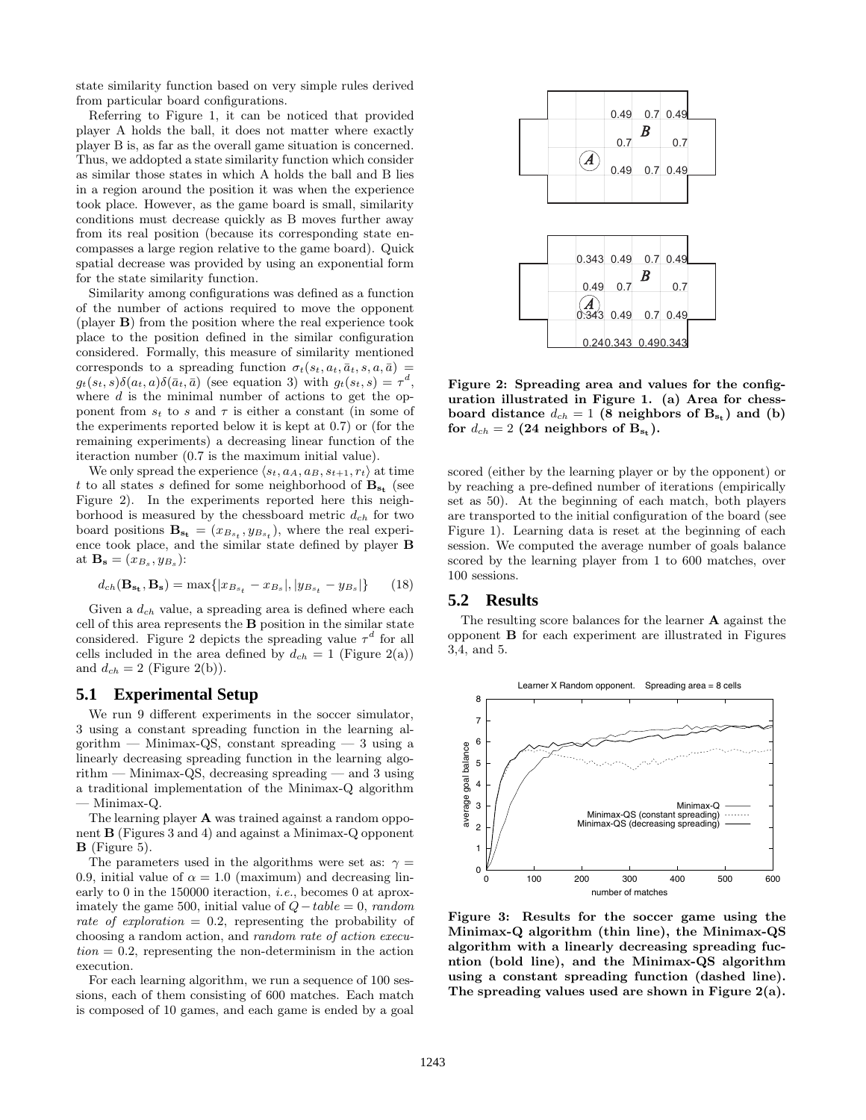state similarity function based on very simple rules derived from particular board configurations.

Referring to Figure 1, it can be noticed that provided player A holds the ball, it does not matter where exactly player B is, as far as the overall game situation is concerned. Thus, we addopted a state similarity function which consider as similar those states in which A holds the ball and B lies in a region around the position it was when the experience took place. However, as the game board is small, similarity conditions must decrease quickly as B moves further away from its real position (because its corresponding state encompasses a large region relative to the game board). Quick spatial decrease was provided by using an exponential form for the state similarity function.

Similarity among configurations was defined as a function of the number of actions required to move the opponent (player **B**) from the position where the real experience took place to the position defined in the similar configuration considered. Formally, this measure of similarity mentioned corresponds to a spreading function  $\sigma_t(s_t, a_t, \bar{a}_t, s, a, \bar{a})$  $g_t(s_t, s)\delta(a_t, a)\delta(\bar{a}_t, \bar{a})$  (see equation 3) with  $g_t(s_t, s) = \tau^d$ where  $d$  is the minimal number of actions to get the opponent from  $s_t$  to s and  $\tau$  is either a constant (in some of the experiments reported below it is kept at 0.7) or (for the remaining experiments) a decreasing linear function of the iteraction number (0.7 is the maximum initial value).

We only spread the experience  $\langle s_t, a_A, a_B, s_{t+1}, r_t \rangle$  at time t to all states s defined for some neighborhood of  $B_{s_t}$  (see Figure 2). In the experiments reported here this neighborhood is measured by the chessboard metric d*ch* for two board positions  $\mathbf{B}_{\mathbf{s_t}} = (x_{B_{s_t}}, y_{B_{s_t}})$ , where the real experience took place, and the similar state defined by player **B** at  $\mathbf{B}_s = (x_{B_s}, y_{B_s})$ :

$$
d_{ch}(\mathbf{B}_{\mathbf{s_t}}, \mathbf{B}_{\mathbf{s}}) = \max\{|x_{B_{s_t}} - x_{B_s}|, |y_{B_{s_t}} - y_{B_s}|\}\
$$
 (18)

Given a d*ch* value, a spreading area is defined where each cell of this area represents the **B** position in the similar state considered. Figure 2 depicts the spreading value  $\tau^d$  for all cells included in the area defined by  $d_{ch} = 1$  (Figure 2(a)) and  $d_{ch} = 2$  (Figure 2(b)).

#### **5.1 Experimental Setup**

We run 9 different experiments in the soccer simulator, 3 using a constant spreading function in the learning algorithm — Minimax-QS, constant spreading — 3 using a linearly decreasing spreading function in the learning algorithm — Minimax-QS, decreasing spreading — and 3 using a traditional implementation of the Minimax-Q algorithm — Minimax-Q.

The learning player **A** was trained against a random opponent **B** (Figures 3 and 4) and against a Minimax-Q opponent **B** (Figure 5).

The parameters used in the algorithms were set as:  $\gamma =$ 0.9, initial value of  $\alpha = 1.0$  (maximum) and decreasing linearly to 0 in the 150000 iteraction, *i.e.*, becomes 0 at aproximately the game 500, initial value of  $Q - table = 0$ , random rate of exploration  $= 0.2$ , representing the probability of choosing a random action, and random rate of action execu $tion = 0.2$ , representing the non-determinism in the action execution.

For each learning algorithm, we run a sequence of 100 sessions, each of them consisting of 600 matches. Each match is composed of 10 games, and each game is ended by a goal



**Figure 2: Spreading area and values for the configuration illustrated in Figure 1. (a) Area for chessboard distance**  $d_{ch} = 1$  (8 neighbors of  $B_{s_t}$ ) and (b) for  $d_{ch} = 2$  (24 neighbors of  $B_{s_t}$ ).

scored (either by the learning player or by the opponent) or by reaching a pre-defined number of iterations (empirically set as 50). At the beginning of each match, both players are transported to the initial configuration of the board (see Figure 1). Learning data is reset at the beginning of each session. We computed the average number of goals balance scored by the learning player from 1 to 600 matches, over 100 sessions.

### **5.2 Results**

The resulting score balances for the learner **A** against the opponent **B** for each experiment are illustrated in Figures 3,4, and 5.



**Figure 3: Results for the soccer game using the Minimax-Q algorithm (thin line), the Minimax-QS algorithm with a linearly decreasing spreading fucntion (bold line), and the Minimax-QS algorithm using a constant spreading function (dashed line). The spreading values used are shown in Figure 2(a).**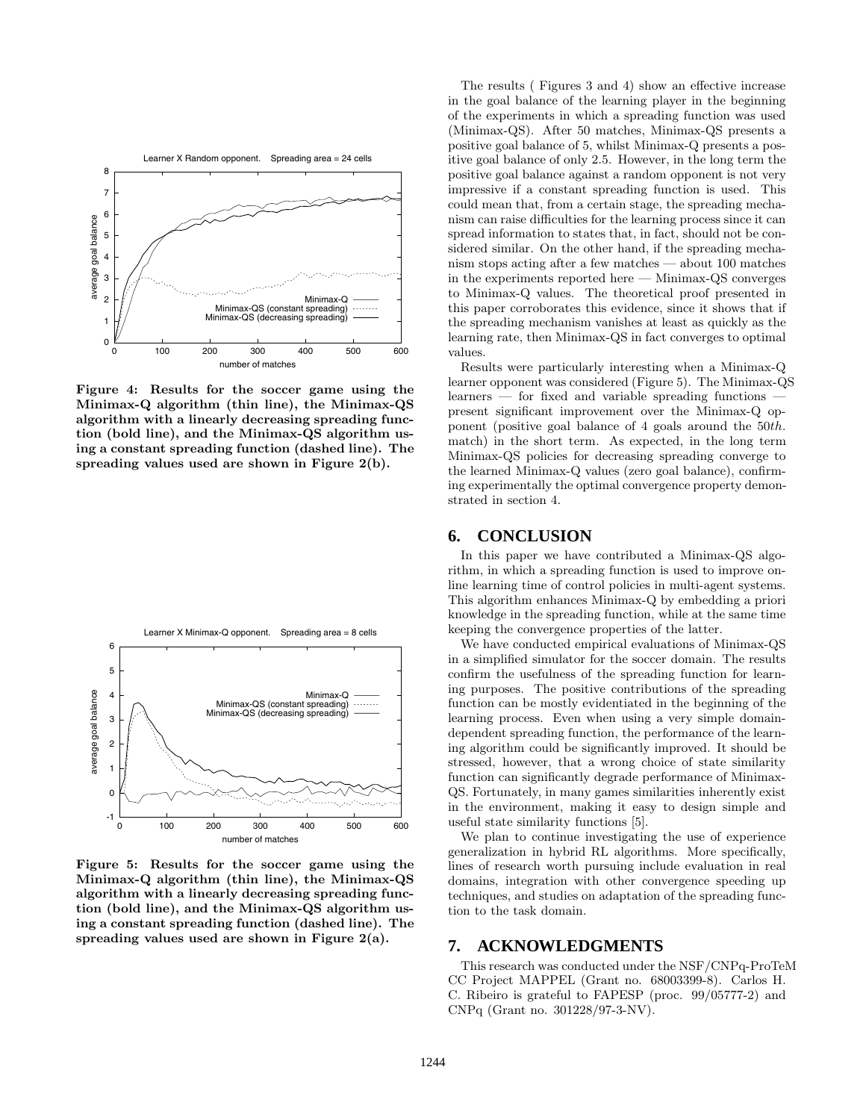

**Figure 4: Results for the soccer game using the Minimax-Q algorithm (thin line), the Minimax-QS algorithm with a linearly decreasing spreading function (bold line), and the Minimax-QS algorithm using a constant spreading function (dashed line). The spreading values used are shown in Figure 2(b).**



**Figure 5: Results for the soccer game using the Minimax-Q algorithm (thin line), the Minimax-QS algorithm with a linearly decreasing spreading function (bold line), and the Minimax-QS algorithm using a constant spreading function (dashed line). The spreading values used are shown in Figure 2(a).**

The results ( Figures 3 and 4) show an effective increase in the goal balance of the learning player in the beginning of the experiments in which a spreading function was used (Minimax-QS). After 50 matches, Minimax-QS presents a positive goal balance of 5, whilst Minimax-Q presents a positive goal balance of only 2.5. However, in the long term the positive goal balance against a random opponent is not very impressive if a constant spreading function is used. This could mean that, from a certain stage, the spreading mechanism can raise difficulties for the learning process since it can spread information to states that, in fact, should not be considered similar. On the other hand, if the spreading mechanism stops acting after a few matches — about 100 matches in the experiments reported here — Minimax-QS converges to Minimax-Q values. The theoretical proof presented in this paper corroborates this evidence, since it shows that if the spreading mechanism vanishes at least as quickly as the learning rate, then Minimax-QS in fact converges to optimal values.

Results were particularly interesting when a Minimax-Q learner opponent was considered (Figure 5). The Minimax-QS learners — for fixed and variable spreading functions present significant improvement over the Minimax-Q opponent (positive goal balance of 4 goals around the 50th. match) in the short term. As expected, in the long term Minimax-QS policies for decreasing spreading converge to the learned Minimax-Q values (zero goal balance), confirming experimentally the optimal convergence property demonstrated in section 4.

### **6. CONCLUSION**

In this paper we have contributed a Minimax-QS algorithm, in which a spreading function is used to improve online learning time of control policies in multi-agent systems. This algorithm enhances Minimax-Q by embedding a priori knowledge in the spreading function, while at the same time keeping the convergence properties of the latter.

We have conducted empirical evaluations of Minimax-QS in a simplified simulator for the soccer domain. The results confirm the usefulness of the spreading function for learning purposes. The positive contributions of the spreading function can be mostly evidentiated in the beginning of the learning process. Even when using a very simple domaindependent spreading function, the performance of the learning algorithm could be significantly improved. It should be stressed, however, that a wrong choice of state similarity function can significantly degrade performance of Minimax-QS. Fortunately, in many games similarities inherently exist in the environment, making it easy to design simple and useful state similarity functions [5].

We plan to continue investigating the use of experience generalization in hybrid RL algorithms. More specifically, lines of research worth pursuing include evaluation in real domains, integration with other convergence speeding up techniques, and studies on adaptation of the spreading function to the task domain.

#### **7. ACKNOWLEDGMENTS**

This research was conducted under the NSF/CNPq-ProTeM CC Project MAPPEL (Grant no. 68003399-8). Carlos H. C. Ribeiro is grateful to FAPESP (proc. 99/05777-2) and CNPq (Grant no. 301228/97-3-NV).